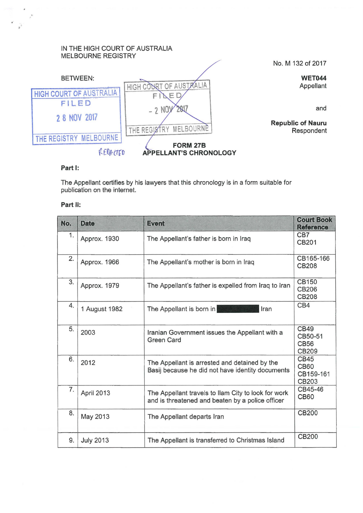## IN THE HIGH COURT OF AUSTRALIA MELBOURNE REGISTRY



and

## **Part 1:**

The Appellant certifies by his lawyers that this chronology is in a form suitable for publication on the internet.

## **Part 11:**

| No. | <b>Date</b>      | <b>Event</b>                                                                                            | <b>Court Book</b><br><b>Reference</b>          |
|-----|------------------|---------------------------------------------------------------------------------------------------------|------------------------------------------------|
| 1.  | Approx. 1930     | The Appellant's father is born in Iraq                                                                  | CB7<br>CB201                                   |
| 2.  | Approx. 1966     | The Appellant's mother is born in Iraq                                                                  | CB165-166<br>CB208                             |
| 3.  | Approx. 1979     | The Appellant's father is expelled from Iraq to Iran                                                    | CB150<br>CB206<br><b>CB208</b>                 |
| 4.  | 1 August 1982    | The Appellant is born in<br>Iran                                                                        | CB4                                            |
| 5.  | 2003             | Iranian Government issues the Appellant with a<br><b>Green Card</b>                                     | <b>CB49</b><br>CB50-51<br><b>CB56</b><br>CB209 |
| 6.  | 2012             | The Appellant is arrested and detained by the<br>Basij because he did not have identity documents       | CB45<br><b>CB60</b><br>CB159-161<br>CB203      |
| 7.  | April 2013       | The Appellant travels to Ilam City to look for work<br>and is threatened and beaten by a police officer | CB45-46<br><b>CB60</b>                         |
| 8.  | May 2013         | The Appellant departs Iran                                                                              | CB200                                          |
| 9.  | <b>July 2013</b> | The Appellant is transferred to Christmas Island                                                        | <b>CB200</b>                                   |